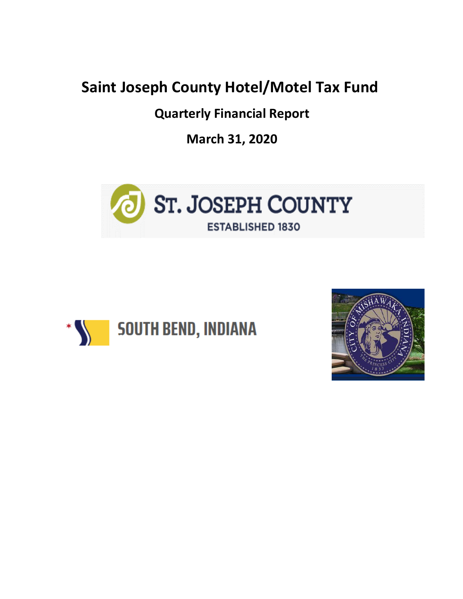## **Saint Joseph County Hotel/Motel Tax Fund**

**Quarterly Financial Report**

**March 31, 2020**





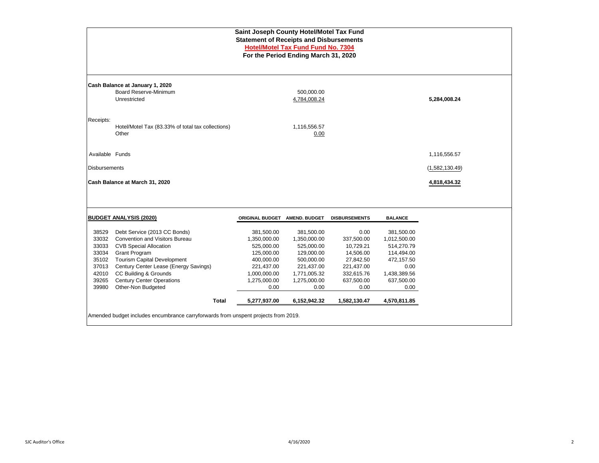|                      | Saint Joseph County Hotel/Motel Tax Fund<br><b>Statement of Receipts and Disbursements</b><br><b>Hotel/Motel Tax Fund Fund No. 7304</b> |                          |                                      |                        |                          |                |  |  |  |  |  |  |
|----------------------|-----------------------------------------------------------------------------------------------------------------------------------------|--------------------------|--------------------------------------|------------------------|--------------------------|----------------|--|--|--|--|--|--|
|                      |                                                                                                                                         |                          | For the Period Ending March 31, 2020 |                        |                          |                |  |  |  |  |  |  |
|                      | Cash Balance at January 1, 2020                                                                                                         |                          |                                      |                        |                          |                |  |  |  |  |  |  |
|                      | Board Reserve-Minimum<br>Unrestricted                                                                                                   |                          | 500,000.00<br>4,784,008.24           |                        |                          | 5,284,008.24   |  |  |  |  |  |  |
| Receipts:            | Hotel/Motel Tax (83.33% of total tax collections)                                                                                       |                          | 1,116,556.57                         |                        |                          |                |  |  |  |  |  |  |
|                      | Other                                                                                                                                   |                          | 0.00                                 |                        |                          |                |  |  |  |  |  |  |
| Available Funds      |                                                                                                                                         |                          |                                      |                        |                          | 1,116,556.57   |  |  |  |  |  |  |
| <b>Disbursements</b> |                                                                                                                                         |                          |                                      |                        |                          | (1,582,130.49) |  |  |  |  |  |  |
|                      | Cash Balance at March 31, 2020                                                                                                          |                          |                                      |                        |                          | 4,818,434.32   |  |  |  |  |  |  |
|                      |                                                                                                                                         |                          |                                      |                        |                          |                |  |  |  |  |  |  |
|                      | <b>BUDGET ANALYSIS (2020)</b>                                                                                                           | <b>ORIGINAL BUDGET</b>   | <b>AMEND. BUDGET</b>                 | <b>DISBURSEMENTS</b>   | <b>BALANCE</b>           |                |  |  |  |  |  |  |
| 38529                | Debt Service (2013 CC Bonds)                                                                                                            | 381,500.00               | 381,500.00                           | 0.00                   | 381,500.00               |                |  |  |  |  |  |  |
| 33032                | <b>Convention and Visitors Bureau</b>                                                                                                   | 1,350,000.00             | 1,350,000.00                         | 337,500.00             | 1,012,500.00             |                |  |  |  |  |  |  |
| 33033                | <b>CVB Special Allocation</b>                                                                                                           | 525,000.00               | 525,000.00                           | 10,729.21              | 514,270.79               |                |  |  |  |  |  |  |
| 33034<br>35102       | <b>Grant Program</b><br><b>Tourism Capital Development</b>                                                                              | 125,000.00<br>400,000.00 | 129,000.00<br>500,000.00             | 14,506.00<br>27,842.50 | 114,494.00<br>472,157.50 |                |  |  |  |  |  |  |
| 37013                | Century Center Lease (Energy Savings)                                                                                                   | 221,437.00               | 221,437.00                           | 221,437.00             | 0.00                     |                |  |  |  |  |  |  |
| 42010                | CC Building & Grounds                                                                                                                   | 1,000,000.00             | 1,771,005.32                         | 332,615.76             | 1,438,389.56             |                |  |  |  |  |  |  |
| 39265                | <b>Century Center Operations</b>                                                                                                        | 1,275,000.00             | 1,275,000.00                         | 637,500.00             | 637,500.00               |                |  |  |  |  |  |  |
| 39980                | Other-Non Budgeted                                                                                                                      | 0.00                     | 0.00                                 | 0.00                   | 0.00                     |                |  |  |  |  |  |  |
|                      | <b>Total</b>                                                                                                                            | 5,277,937.00             | 6,152,942.32                         | 1,582,130.47           | 4,570,811.85             |                |  |  |  |  |  |  |
|                      | Amended budget includes encumbrance carryforwards from unspent projects from 2019.                                                      |                          |                                      |                        |                          |                |  |  |  |  |  |  |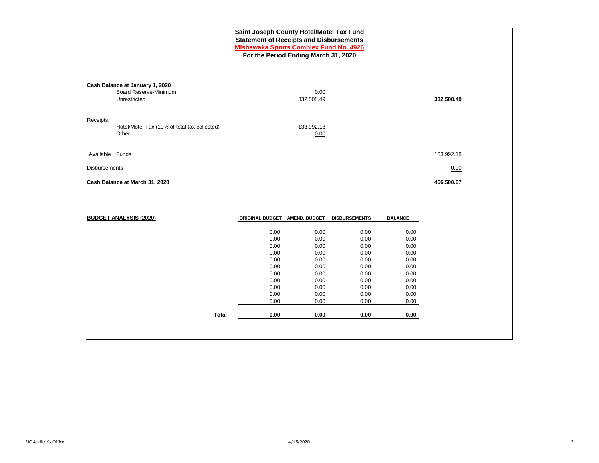|                      |                                                                                 | Saint Joseph County Hotel/Motel Tax Fund<br><b>Statement of Receipts and Disbursements</b><br><b>Mishawaka Sports Complex Fund No. 4926</b> | For the Period Ending March 31, 2020                                                         |                                                                                              |                                                                                              |            |  |
|----------------------|---------------------------------------------------------------------------------|---------------------------------------------------------------------------------------------------------------------------------------------|----------------------------------------------------------------------------------------------|----------------------------------------------------------------------------------------------|----------------------------------------------------------------------------------------------|------------|--|
|                      | Cash Balance at January 1, 2020<br><b>Board Reserve-Minimum</b><br>Unrestricted |                                                                                                                                             | 0.00<br>332,508.49                                                                           |                                                                                              |                                                                                              | 332,508.49 |  |
| Receipts:            | Hotel/Motel Tax (10% of total tax collected)<br>Other                           |                                                                                                                                             | 133,992.18<br>0.00                                                                           |                                                                                              |                                                                                              |            |  |
| Available Funds      |                                                                                 |                                                                                                                                             |                                                                                              |                                                                                              |                                                                                              | 133,992.18 |  |
| <b>Disbursements</b> |                                                                                 |                                                                                                                                             |                                                                                              |                                                                                              |                                                                                              | 0.00       |  |
|                      | Cash Balance at March 31, 2020                                                  |                                                                                                                                             |                                                                                              |                                                                                              |                                                                                              | 466,500.67 |  |
|                      |                                                                                 |                                                                                                                                             |                                                                                              |                                                                                              |                                                                                              |            |  |
|                      | <b>BUDGET ANALYSIS (2020)</b>                                                   | ORIGINAL BUDGET AMEND. BUDGET                                                                                                               |                                                                                              | <b>DISBURSEMENTS</b>                                                                         | <b>BALANCE</b>                                                                               |            |  |
|                      | <b>Total</b>                                                                    | 0.00<br>0.00<br>0.00<br>0.00<br>0.00<br>0.00<br>0.00<br>0.00<br>0.00<br>0.00<br>0.00<br>0.00                                                | 0.00<br>0.00<br>0.00<br>0.00<br>0.00<br>0.00<br>0.00<br>0.00<br>0.00<br>0.00<br>0.00<br>0.00 | 0.00<br>0.00<br>0.00<br>0.00<br>0.00<br>0.00<br>0.00<br>0.00<br>0.00<br>0.00<br>0.00<br>0.00 | 0.00<br>0.00<br>0.00<br>0.00<br>0.00<br>0.00<br>0.00<br>0.00<br>0.00<br>0.00<br>0.00<br>0.00 |            |  |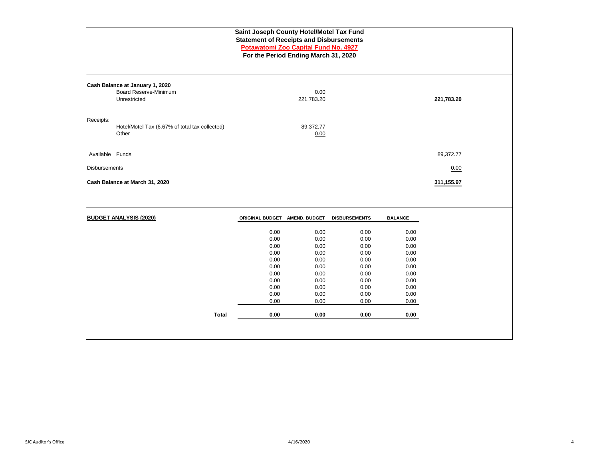| Saint Joseph County Hotel/Motel Tax Fund<br><b>Statement of Receipts and Disbursements</b><br>Potawatomi Zoo Capital Fund No. 4927<br>For the Period Ending March 31, 2020 |                                                                          |                                                                                              |                                                                                              |                                                                                              |                                                                                              |            |  |  |  |  |
|----------------------------------------------------------------------------------------------------------------------------------------------------------------------------|--------------------------------------------------------------------------|----------------------------------------------------------------------------------------------|----------------------------------------------------------------------------------------------|----------------------------------------------------------------------------------------------|----------------------------------------------------------------------------------------------|------------|--|--|--|--|
|                                                                                                                                                                            | Cash Balance at January 1, 2020<br>Board Reserve-Minimum<br>Unrestricted |                                                                                              | 0.00<br>221,783.20                                                                           |                                                                                              |                                                                                              | 221,783.20 |  |  |  |  |
| Receipts:                                                                                                                                                                  | Hotel/Motel Tax (6.67% of total tax collected)<br>Other                  |                                                                                              | 89,372.77<br>0.00                                                                            |                                                                                              |                                                                                              |            |  |  |  |  |
| Available Funds                                                                                                                                                            |                                                                          |                                                                                              |                                                                                              |                                                                                              |                                                                                              | 89,372.77  |  |  |  |  |
| <b>Disbursements</b>                                                                                                                                                       |                                                                          |                                                                                              |                                                                                              |                                                                                              |                                                                                              | 0.00       |  |  |  |  |
|                                                                                                                                                                            | Cash Balance at March 31, 2020                                           |                                                                                              |                                                                                              |                                                                                              |                                                                                              | 311,155.97 |  |  |  |  |
|                                                                                                                                                                            | <b>BUDGET ANALYSIS (2020)</b>                                            | ORIGINAL BUDGET AMEND. BUDGET                                                                |                                                                                              | <b>DISBURSEMENTS</b>                                                                         | <b>BALANCE</b>                                                                               |            |  |  |  |  |
|                                                                                                                                                                            | <b>Total</b>                                                             | 0.00<br>0.00<br>0.00<br>0.00<br>0.00<br>0.00<br>0.00<br>0.00<br>0.00<br>0.00<br>0.00<br>0.00 | 0.00<br>0.00<br>0.00<br>0.00<br>0.00<br>0.00<br>0.00<br>0.00<br>0.00<br>0.00<br>0.00<br>0.00 | 0.00<br>0.00<br>0.00<br>0.00<br>0.00<br>0.00<br>0.00<br>0.00<br>0.00<br>0.00<br>0.00<br>0.00 | 0.00<br>0.00<br>0.00<br>0.00<br>0.00<br>0.00<br>0.00<br>0.00<br>0.00<br>0.00<br>0.00<br>0.00 |            |  |  |  |  |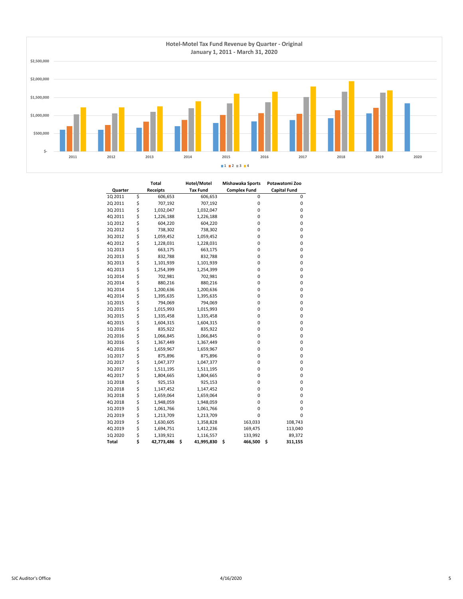

|         | Total            | Hotel/Motel      | Mishawaka Sports    | Potawatomi Zoo      |
|---------|------------------|------------------|---------------------|---------------------|
| Quarter | <b>Receipts</b>  | <b>Tax Fund</b>  | <b>Complex Fund</b> | <b>Capital Fund</b> |
| 1Q 2011 | \$<br>606,653    | 606,653          | 0                   | 0                   |
| 2Q 2011 | \$<br>707,192    | 707,192          | $\pmb{0}$           | 0                   |
| 3Q 2011 | \$<br>1,032,047  | 1,032,047        | 0                   | 0                   |
| 4Q 2011 | \$<br>1,226,188  | 1,226,188        | 0                   | 0                   |
| 1Q 2012 | \$<br>604,220    | 604,220          | 0                   | 0                   |
| 2Q 2012 | \$<br>738,302    | 738,302          | 0                   | 0                   |
| 3Q 2012 | \$<br>1,059,452  | 1,059,452        | 0                   | 0                   |
| 4Q 2012 | \$<br>1,228,031  | 1,228,031        | 0                   | 0                   |
| 1Q 2013 | \$<br>663,175    | 663,175          | 0                   | 0                   |
| 2Q 2013 | \$<br>832,788    | 832,788          | 0                   | 0                   |
| 3Q 2013 | \$<br>1,101,939  | 1,101,939        | 0                   | 0                   |
| 4Q 2013 | \$<br>1,254,399  | 1,254,399        | 0                   | 0                   |
| 1Q 2014 | \$<br>702,981    | 702,981          | 0                   | 0                   |
| 2Q 2014 | \$<br>880,216    | 880,216          | 0                   | 0                   |
| 3Q 2014 | \$<br>1,200,636  | 1,200,636        | 0                   | 0                   |
| 4Q 2014 | \$<br>1,395,635  | 1,395,635        | 0                   | 0                   |
| 1Q 2015 | \$<br>794,069    | 794,069          | 0                   | 0                   |
| 2Q 2015 | \$<br>1,015,993  | 1,015,993        | 0                   | 0                   |
| 3Q 2015 | \$<br>1,335,458  | 1,335,458        | 0                   | 0                   |
| 4Q 2015 | \$<br>1,604,315  | 1,604,315        | 0                   | 0                   |
| 1Q 2016 | \$<br>835,922    | 835,922          | 0                   | 0                   |
| 2Q 2016 | \$<br>1,066,845  | 1,066,845        | 0                   | 0                   |
| 3Q 2016 | \$<br>1,367,449  | 1,367,449        | 0                   | 0                   |
| 4Q 2016 | \$<br>1,659,967  | 1,659,967        | 0                   | 0                   |
| 1Q 2017 | \$<br>875,896    | 875,896          | 0                   | 0                   |
| 2Q 2017 | \$<br>1,047,377  | 1,047,377        | 0                   | 0                   |
| 3Q 2017 | \$<br>1,511,195  | 1,511,195        | 0                   | 0                   |
| 4Q 2017 | \$<br>1,804,665  | 1,804,665        | 0                   | 0                   |
| 1Q 2018 | \$<br>925,153    | 925,153          | 0                   | 0                   |
| 2Q 2018 | \$<br>1,147,452  | 1,147,452        | 0                   | 0                   |
| 3Q 2018 | \$<br>1,659,064  | 1,659,064        | 0                   | 0                   |
| 4Q 2018 | \$<br>1,948,059  | 1,948,059        | 0                   | 0                   |
| 1Q 2019 | \$<br>1,061,766  | 1,061,766        | 0                   | 0                   |
| 2Q 2019 | \$<br>1,213,709  | 1,213,709        | 0                   | 0                   |
| 3Q 2019 | \$<br>1,630,605  | 1,358,828        | 163,033             | 108,743             |
| 4Q 2019 | \$<br>1,694,751  | 1,412,236        | 169,475             | 113,040             |
| 1Q 2020 | \$<br>1,339,921  | 1,116,557        | 133,992             | 89,372              |
| Total   | \$<br>42,773,486 | \$<br>41,995,830 | \$<br>466,500       | \$<br>311,155       |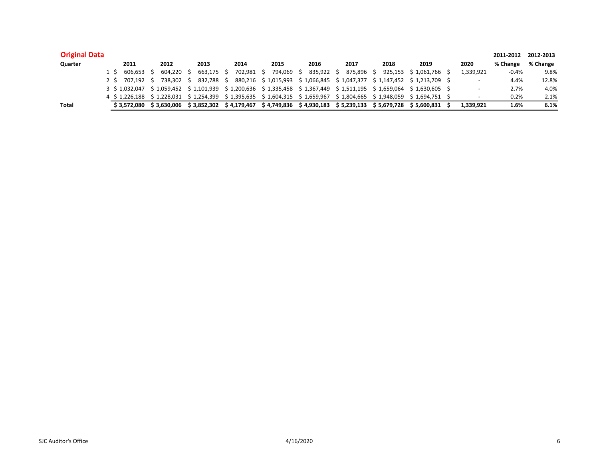| <b>Original Data</b> |                           |             |                         |             |                     |             |                                                        |              |                                                                         |           | 2011-2012 | 2012-2013 |
|----------------------|---------------------------|-------------|-------------------------|-------------|---------------------|-------------|--------------------------------------------------------|--------------|-------------------------------------------------------------------------|-----------|-----------|-----------|
| Quarter              | 2011                      | 2012        | 2013                    | 2014        | 2015                | 2016        | 2017                                                   | 2018         | 2019                                                                    | 2020      | % Change  | % Change  |
|                      | 606.653                   | 604.220     | 663.175                 | 702.981     | 794.069             | 835.922     | 875.896                                                |              | 925.153 \$1.061.766                                                     | 1,339,921 | $-0.4%$   | 9.8%      |
|                      | 2 \$ 707.192 \$           | 738.302     | 832.788                 |             | 880.216 \$1.015.993 |             | $$1,066,845 \t$1,047,377$                              |              | \$1.147.452 \$1.213.709                                                 |           | 4.4%      | 12.8%     |
|                      | 3 \$ 1.032.047            |             | \$1.059.452 \$1.101.939 |             |                     |             |                                                        |              | \$1,200,636 \$1,335,458 \$1,367,449 \$1,511,195 \$1,659,064 \$1,630,605 |           | 2.7%      | 4.0%      |
|                      | 4 \$1,226,188 \$1,228,031 |             | \$1.254.399             |             |                     |             | $$1,395,635 \t$ 1,604,315 \t$ 1,659,967 \t$ 1,804,665$ |              | \$1.948.059 \$1.694.751 \$                                              |           | 0.2%      | 2.1%      |
| <b>Total</b>         | \$3.572.080               | \$3.630.006 | \$3.852.302             | \$4.179.467 | \$4.749.836         | \$4,930,183 | \$5,239,133                                            | \$ 5.679.728 | \$5.600.831                                                             | 1,339,921 | 1.6%      | 6.1%      |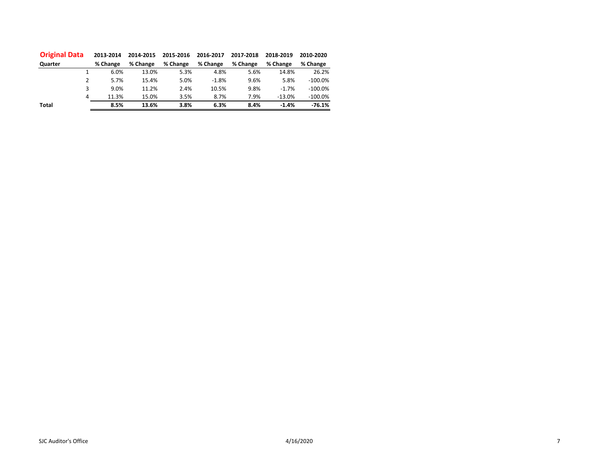| <b>Original Data</b> | 2013-2014 | 2014-2015 | 2015-2016 | 2016-2017 | 2017-2018 | 2018-2019 | 2010-2020  |
|----------------------|-----------|-----------|-----------|-----------|-----------|-----------|------------|
| Quarter              | % Change  | % Change  | % Change  | % Change  | % Change  | % Change  | % Change   |
|                      | 6.0%      | 13.0%     | 5.3%      | 4.8%      | 5.6%      | 14.8%     | 26.2%      |
| 2                    | 5.7%      | 15.4%     | 5.0%      | $-1.8%$   | 9.6%      | 5.8%      | $-100.0\%$ |
| 3                    | 9.0%      | 11.2%     | 2.4%      | 10.5%     | 9.8%      | $-1.7%$   | $-100.0\%$ |
| 4                    | 11.3%     | 15.0%     | 3.5%      | 8.7%      | 7.9%      | $-13.0%$  | $-100.0\%$ |
| <b>Total</b>         | 8.5%      | 13.6%     | 3.8%      | 6.3%      | 8.4%      | $-1.4%$   | $-76.1%$   |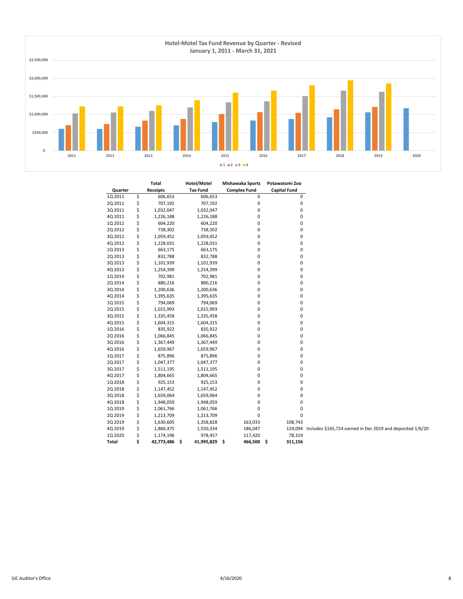

|         | Total            | Hotel/Motel      | Mishawaka Sports    | Potawatomi Zoo                                                     |  |
|---------|------------------|------------------|---------------------|--------------------------------------------------------------------|--|
| Quarter | <b>Receipts</b>  | <b>Tax Fund</b>  | <b>Complex Fund</b> | <b>Capital Fund</b>                                                |  |
| 1Q 2011 | \$<br>606,653    | 606,653          | $\mathbf 0$         | $\mathsf 0$                                                        |  |
| 2Q 2011 | \$<br>707,192    | 707,192          | $\pmb{0}$           | $\pmb{0}$                                                          |  |
| 3Q 2011 | \$<br>1,032,047  | 1,032,047        | $\pmb{0}$           | $\pmb{0}$                                                          |  |
| 4Q 2011 | \$<br>1,226,188  | 1,226,188        | $\pmb{0}$           | $\pmb{0}$                                                          |  |
| 1Q 2012 | \$<br>604,220    | 604,220          | $\pmb{0}$           | $\pmb{0}$                                                          |  |
| 2Q 2012 | \$<br>738,302    | 738,302          | $\pmb{0}$           | 0                                                                  |  |
| 3Q 2012 | \$<br>1,059,452  | 1,059,452        | $\pmb{0}$           | 0                                                                  |  |
| 4Q 2012 | \$<br>1,228,031  | 1,228,031        | $\pmb{0}$           | 0                                                                  |  |
| 1Q 2013 | \$<br>663,175    | 663,175          | $\pmb{0}$           | $\pmb{0}$                                                          |  |
| 2Q 2013 | \$<br>832,788    | 832,788          | $\pmb{0}$           | 0                                                                  |  |
| 3Q 2013 | \$<br>1,101,939  | 1,101,939        | $\pmb{0}$           | $\pmb{0}$                                                          |  |
| 4Q 2013 | \$<br>1,254,399  | 1,254,399        | $\pmb{0}$           | $\pmb{0}$                                                          |  |
| 1Q 2014 | \$<br>702,981    | 702,981          | 0                   | 0                                                                  |  |
| 2Q 2014 | \$<br>880,216    | 880,216          | $\pmb{0}$           | 0                                                                  |  |
| 3Q 2014 | \$<br>1,200,636  | 1,200,636        | 0                   | 0                                                                  |  |
| 4Q 2014 | \$<br>1,395,635  | 1,395,635        | $\pmb{0}$           | $\pmb{0}$                                                          |  |
| 1Q 2015 | \$<br>794,069    | 794,069          | $\pmb{0}$           | 0                                                                  |  |
| 2Q 2015 | \$<br>1,015,993  | 1,015,993        | $\pmb{0}$           | 0                                                                  |  |
| 3Q 2015 | \$<br>1,335,458  | 1,335,458        | $\pmb{0}$           | $\pmb{0}$                                                          |  |
| 4Q 2015 | \$<br>1,604,315  | 1,604,315        | $\pmb{0}$           | $\pmb{0}$                                                          |  |
| 1Q 2016 | \$<br>835,922    | 835,922          | 0                   | 0                                                                  |  |
| 2Q 2016 | \$<br>1,066,845  | 1,066,845        | $\pmb{0}$           | 0                                                                  |  |
| 3Q 2016 | \$<br>1,367,449  | 1,367,449        | $\pmb{0}$           | 0                                                                  |  |
| 4Q 2016 | \$<br>1,659,967  | 1,659,967        | 0                   | 0                                                                  |  |
| 1Q 2017 | \$<br>875,896    | 875,896          | 0                   | 0                                                                  |  |
| 2Q 2017 | \$<br>1,047,377  | 1,047,377        | $\pmb{0}$           | $\pmb{0}$                                                          |  |
| 3Q 2017 | \$<br>1,511,195  | 1,511,195        | $\pmb{0}$           | $\pmb{0}$                                                          |  |
| 4Q 2017 | \$<br>1,804,665  | 1,804,665        | 0                   | 0                                                                  |  |
| 1Q 2018 | \$<br>925,153    | 925,153          | $\pmb{0}$           | 0                                                                  |  |
| 2Q 2018 | \$<br>1,147,452  | 1,147,452        | 0                   | 0                                                                  |  |
| 3Q 2018 | \$<br>1,659,064  | 1,659,064        | $\pmb{0}$           | 0                                                                  |  |
| 4Q 2018 | \$               |                  | 0                   | 0                                                                  |  |
|         | \$<br>1,948,059  | 1,948,059        | $\pmb{0}$           | $\pmb{0}$                                                          |  |
| 1Q 2019 | 1,061,766        | 1,061,766        |                     |                                                                    |  |
| 2Q 2019 | \$<br>1,213,709  | 1,213,709        | 0                   | 0                                                                  |  |
| 3Q 2019 | \$<br>1,630,605  | 1,358,828        | 163,033             | 108,743                                                            |  |
| 4Q 2019 | \$<br>1,860,475  | 1,550,334        | 186,047             | 124,094 Includes \$165,724 earned in Dec 2019 and deposited 1/6/20 |  |
| 1Q 2020 | \$<br>1,174,196  | 978,457          | 117,420             | 78,319                                                             |  |
| Total   | \$<br>42,773,486 | \$<br>41,995,829 | \$<br>466,500       | \$<br>311,156                                                      |  |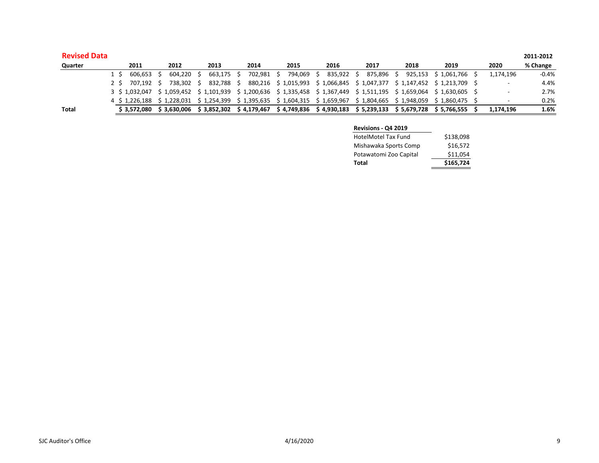| <b>Revised Data</b> |     |                                                                                                                           |            |            |            |            |                                                                                                 |            |                      |      |                          | 2011-2012 |
|---------------------|-----|---------------------------------------------------------------------------------------------------------------------------|------------|------------|------------|------------|-------------------------------------------------------------------------------------------------|------------|----------------------|------|--------------------------|-----------|
| Quarter             |     | 2011                                                                                                                      | 2012       | 2013       | 2014       | 2015       | 2016                                                                                            | 2017       | 2018                 | 2019 | 2020                     | % Change  |
|                     | 1 S | 606.653 S                                                                                                                 | 604.220    | 663.175 \$ | 702.981 \$ | 794.069 \$ | 835.922 \$                                                                                      | 875.896 \$ | 925.153 \$ 1.061.766 |      | 1.174.196                | $-0.4%$   |
|                     | 2 S | 707.192 S                                                                                                                 | 738.302 \$ | 832.788 \$ |            |            | 880.216 \$1.015.993 \$1.066.845 \$1.047.377 \$1.147.452 \$1.213.709 \$                          |            |                      |      |                          | 4.4%      |
|                     |     | 3 \$ 1,032,047 \$ 1,059,452 \$ 1,101,939 \$ 1,200,636 \$ 1,335,458 \$ 1,367,449 \$ 1,511,195 \$ 1,659,064 \$ 1,630,605 \$ |            |            |            |            |                                                                                                 |            |                      |      | $\overline{\phantom{0}}$ | 2.7%      |
|                     |     | 4 \$ 1.226.188 \$ 1.228.031 \$ 1.254.399 \$ 1.395.635 \$ 1.604.315 \$ 1.659.967 \$ 1.804.665 \$ 1.948.059 \$ 1.860.475 \$ |            |            |            |            |                                                                                                 |            |                      |      |                          | 0.2%      |
| <b>Total</b>        |     | \$3.572.080                                                                                                               |            |            |            |            | \$3,630,006 \$3,852,302 \$4,179,467 \$4,749,836 \$4,930,183 \$5,239,133 \$5,679,728 \$5,766,555 |            |                      |      | 1,174,196                | 1.6%      |

| <b>Revisions - Q4 2019</b> |           |
|----------------------------|-----------|
| HotelMotel Tax Fund        | \$138,098 |
| Mishawaka Sports Comp      | \$16,572  |
| Potawatomi Zoo Capital     | \$11,054  |
| Total                      | \$165,724 |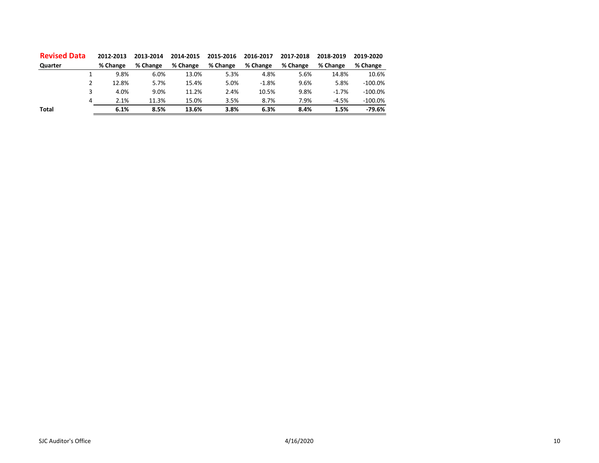| <b>Revised Data</b> | 2012-2013 |       | 2013-2014 | 2014-2015 | 2015-2016 | 2016-2017 | 2017-2018 | 2018-2019 | 2019-2020 |
|---------------------|-----------|-------|-----------|-----------|-----------|-----------|-----------|-----------|-----------|
| Quarter             | % Change  |       | % Change  | % Change  | % Change  | % Change  | % Change  | % Change  | % Change  |
|                     |           | 9.8%  | 6.0%      | 13.0%     | 5.3%      | 4.8%      | 5.6%      | 14.8%     | 10.6%     |
|                     |           | 12.8% | 5.7%      | 15.4%     | 5.0%      | $-1.8%$   | 9.6%      | 5.8%      | $-100.0%$ |
|                     |           | 4.0%  | 9.0%      | 11.2%     | 2.4%      | 10.5%     | 9.8%      | $-1.7%$   | $-100.0%$ |
| 4                   |           | 2.1%  | 11.3%     | 15.0%     | 3.5%      | 8.7%      | 7.9%      | $-4.5%$   | $-100.0%$ |
| Total               |           | 6.1%  | 8.5%      | 13.6%     | 3.8%      | 6.3%      | 8.4%      | 1.5%      | $-79.6%$  |
|                     |           |       |           |           |           |           |           |           |           |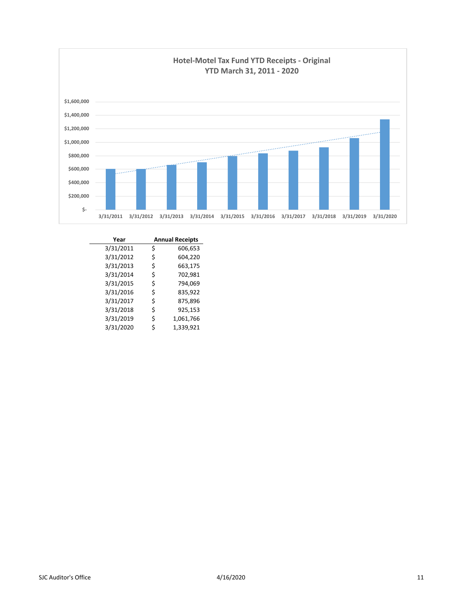

| Year      | <b>Annual Receipts</b> |
|-----------|------------------------|
| 3/31/2011 | \$<br>606,653          |
| 3/31/2012 | \$<br>604,220          |
| 3/31/2013 | \$<br>663,175          |
| 3/31/2014 | \$<br>702,981          |
| 3/31/2015 | \$<br>794.069          |
| 3/31/2016 | \$<br>835,922          |
| 3/31/2017 | \$<br>875,896          |
| 3/31/2018 | \$<br>925,153          |
| 3/31/2019 | \$<br>1,061,766        |
| 3/31/2020 | \$<br>1,339,921        |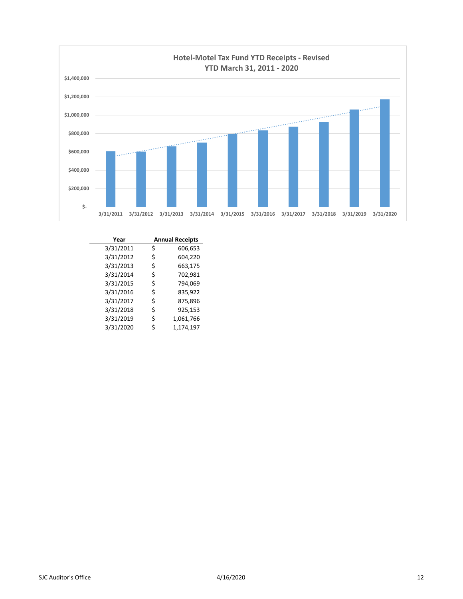

| Year      | <b>Annual Receipts</b> |
|-----------|------------------------|
| 3/31/2011 | \$<br>606,653          |
| 3/31/2012 | \$<br>604,220          |
| 3/31/2013 | \$<br>663,175          |
| 3/31/2014 | \$<br>702,981          |
| 3/31/2015 | \$<br>794,069          |
| 3/31/2016 | \$<br>835,922          |
| 3/31/2017 | \$<br>875,896          |
| 3/31/2018 | \$<br>925,153          |
| 3/31/2019 | \$<br>1,061,766        |
| 3/31/2020 | \$<br>1,174,197        |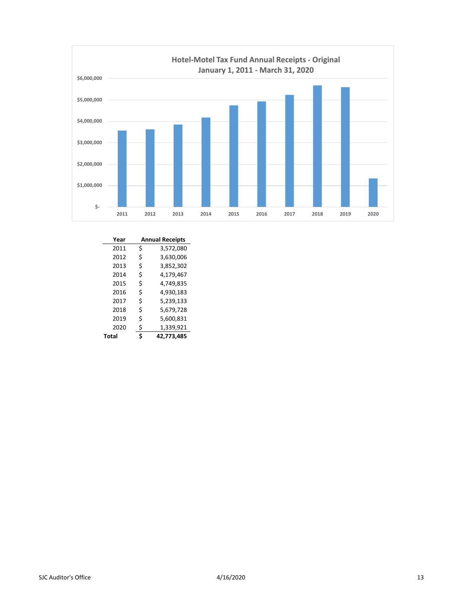

| Year  | <b>Annual Receipts</b> |            |  |  |
|-------|------------------------|------------|--|--|
| 2011  | \$                     | 3,572,080  |  |  |
| 2012  | \$                     | 3,630,006  |  |  |
| 2013  | \$                     | 3,852,302  |  |  |
| 2014  | \$                     | 4,179,467  |  |  |
| 2015  | \$                     | 4,749,835  |  |  |
| 2016  | Ś                      | 4,930,183  |  |  |
| 2017  | \$                     | 5,239,133  |  |  |
| 2018  | \$                     | 5,679,728  |  |  |
| 2019  | \$                     | 5,600,831  |  |  |
| 2020  | \$                     | 1,339,921  |  |  |
| Total | Ś                      | 42.773.485 |  |  |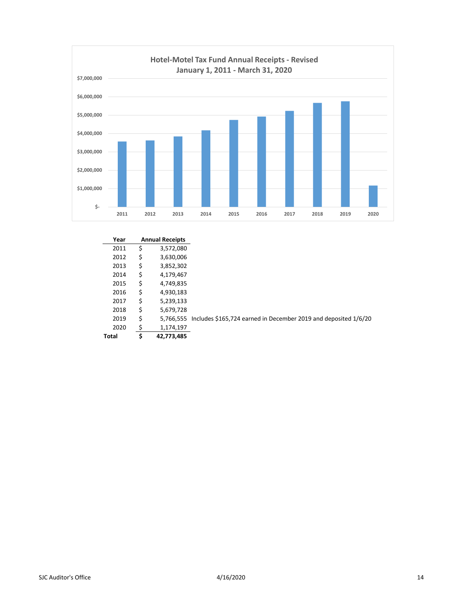

| Year  | <b>Annual Receipts</b> |                                                                 |
|-------|------------------------|-----------------------------------------------------------------|
| 2011  | \$<br>3,572,080        |                                                                 |
| 2012  | \$<br>3,630,006        |                                                                 |
| 2013  | \$<br>3,852,302        |                                                                 |
| 2014  | \$<br>4,179,467        |                                                                 |
| 2015  | \$<br>4,749,835        |                                                                 |
| 2016  | \$<br>4,930,183        |                                                                 |
| 2017  | \$<br>5,239,133        |                                                                 |
| 2018  | \$<br>5,679,728        |                                                                 |
| 2019  | \$<br>5.766.555        | Includes \$165,724 earned in December 2019 and deposited 1/6/20 |
| 2020  | \$<br>1,174,197        |                                                                 |
| Total | \$<br>42,773,485       |                                                                 |